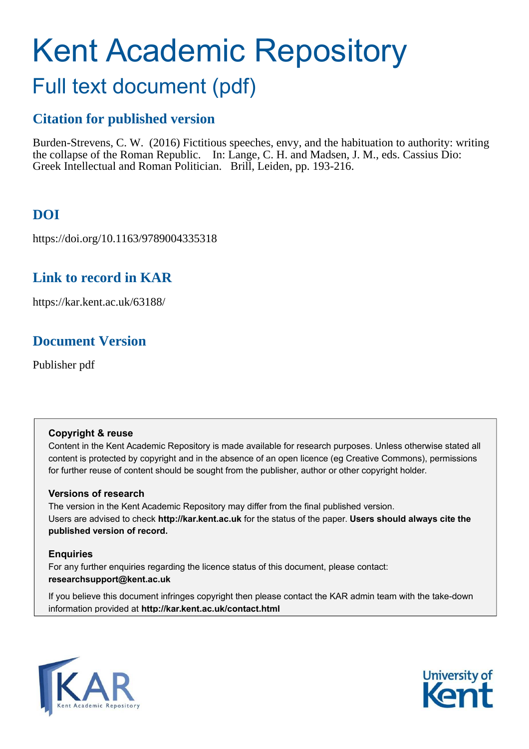# Kent Academic Repository Full text document (pdf)

# **Citation for published version**

Burden-Strevens, C. W. (2016) Fictitious speeches, envy, and the habituation to authority: writing the collapse of the Roman Republic. In: Lange, C. H. and Madsen, J. M., eds. Cassius Dio: Greek Intellectual and Roman Politician. Brill, Leiden, pp. 193-216.

# **DOI**

https://doi.org/10.1163/9789004335318

# **Link to record in KAR**

https://kar.kent.ac.uk/63188/

# **Document Version**

Publisher pdf

### **Copyright & reuse**

Content in the Kent Academic Repository is made available for research purposes. Unless otherwise stated all content is protected by copyright and in the absence of an open licence (eg Creative Commons), permissions for further reuse of content should be sought from the publisher, author or other copyright holder.

### **Versions of research**

The version in the Kent Academic Repository may differ from the final published version. Users are advised to check **http://kar.kent.ac.uk** for the status of the paper. **Users should always cite the published version of record.**

### **Enquiries**

For any further enquiries regarding the licence status of this document, please contact: **researchsupport@kent.ac.uk**

If you believe this document infringes copyright then please contact the KAR admin team with the take-down information provided at **http://kar.kent.ac.uk/contact.html**



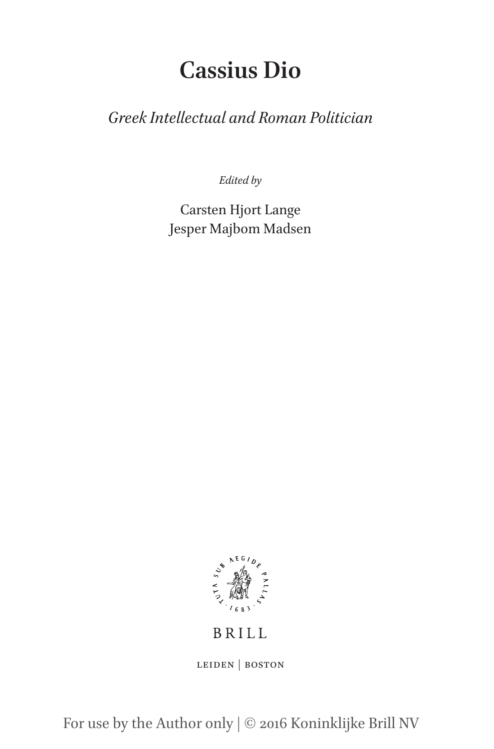# **Cassius Dio**

*Greek Intellectual and Roman Politician*

*Edited by*

Carsten Hjort Lange Jesper Majbom Madsen



**BRILL** 

LEIDEN | BOSTON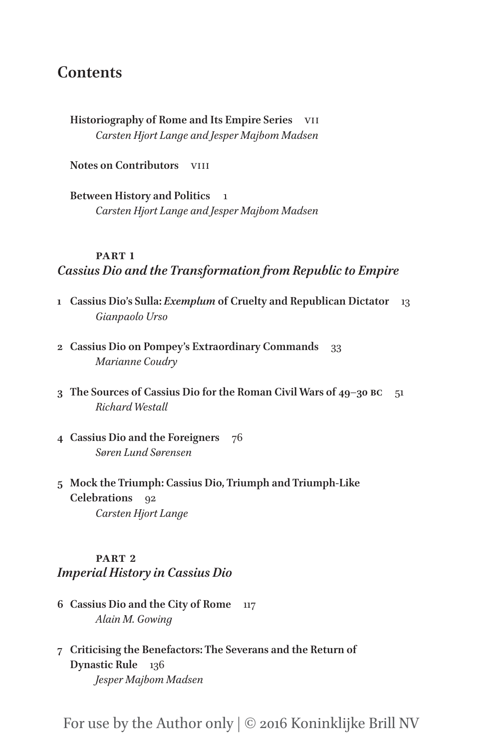### **Contents**

**Historiography of Rome and Its Empire Series** vii *Carsten Hjort Lange and Jesper Majbom Madsen*

**Notes on Contributors** VIII

**Between History and Politics** 1 *Carsten Hjort Lange and Jesper Majbom Madsen*

#### **Part 1** *Cassius Dio and the Transformation from Republic to Empire*

- **1 Cassius Dio's Sulla:** *Exemplum* **of Cruelty and Republican Dictator** 13 *Gianpaolo Urso*
- **2 Cassius Dio on Pompey's Extraordinary Commands** 33 *Marianne Coudry*
- **3 The Sources of Cassius Dio for the Roman Civil Wars of 49–30 BC** 51 *Richard Westall*
- **4 Cassius Dio and the Foreigners** 76 *Søren Lund Sørensen*
- **5 Mock the Triumph: Cassius Dio, Triumph and Triumph-Like Celebrations** 92 *Carsten Hjort Lange*

#### **Part 2** *Imperial History in Cassius Dio*

- **6 Cassius Dio and the City of Rome** 117 *Alain M. Gowing*
- **7 Criticising the Benefactors: The Severans and the Return of Dynastic Rule** 136 *Jesper Majbom Madsen*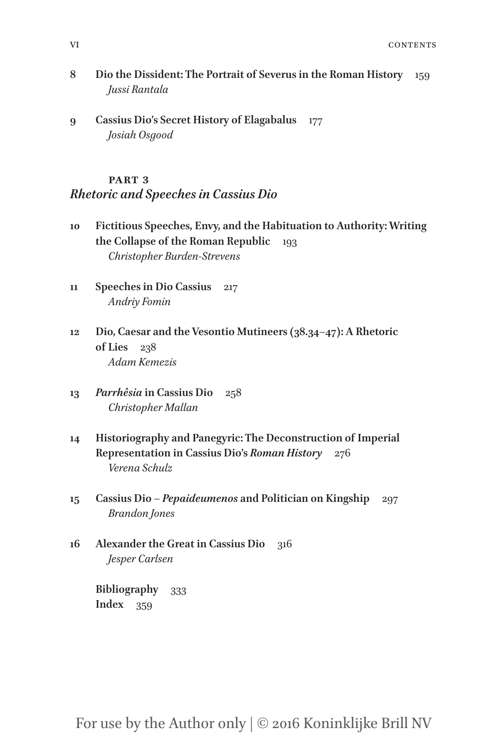- **8 Dio the Dissident: The Portrait of Severus in the Roman History** 159 *Jussi Rantala*
- **9 Cassius Dio's Secret History of Elagabalus** 177 *Josiah Osgood*

#### **Part 3** *Rhetoric and Speeches in Cassius Dio*

- **10 Fictitious Speeches, Envy, and the Habituation to Authority: Writing the Collapse of the Roman Republic** 193 *Christopher Burden-Strevens*
- **11 Speeches in Dio Cassius** 217 *Andriy Fomin*
- **12 Dio, Caesar and the Vesontio Mutineers (38.34–47): A Rhetoric of Lies** 238 *Adam Kemezis*
- **13** *Parrhêsia* **in Cassius Dio** 258 *Christopher Mallan*
- **14 Historiography and Panegyric: The Deconstruction of Imperial Representation in Cassius Dio's** *Roman History* 276 *Verena Schulz*
- **15 Cassius Dio** *Pepaideumenos* **and Politician on Kingship** 297 *Brandon Jones*
- **16 Alexander the Great in Cassius Dio** 316 *Jesper Carlsen*

**Bibliography** 333 **Index** 359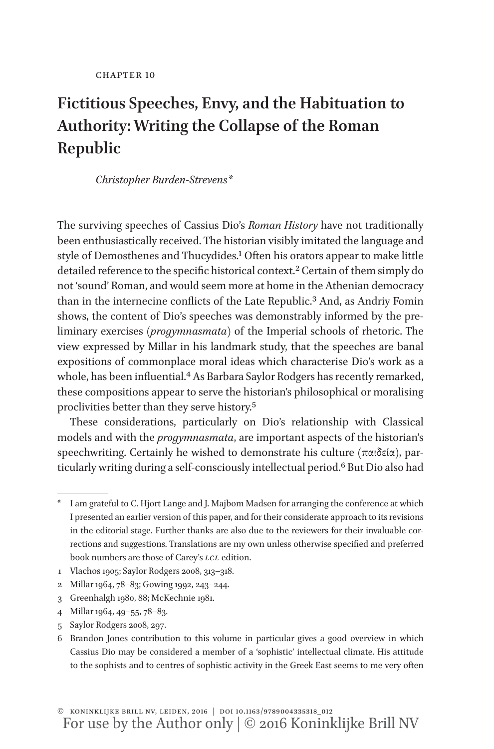# **Fictitious Speeches, Envy, and the Habituation to Authority: Writing the Collapse of the Roman Republic**

*Christopher Burden-Strevens\**

The surviving speeches of Cassius Dio's *Roman History* have not traditionally been enthusiastically received. The historian visibly imitated the language and style of Demosthenes and Thucydides.<sup>1</sup> Often his orators appear to make little detailed reference to the specific historical context.<sup>2</sup> Certain of them simply do not 'sound' Roman, and would seem more at home in the Athenian democracy than in the internecine conflicts of the Late Republic.3 And, as Andriy Fomin shows, the content of Dio's speeches was demonstrably informed by the preliminary exercises (*progymnasmata*) of the Imperial schools of rhetoric. The view expressed by Millar in his landmark study, that the speeches are banal expositions of commonplace moral ideas which characterise Dio's work as a whole, has been influential.<sup>4</sup> As Barbara Saylor Rodgers has recently remarked, these compositions appear to serve the historian's philosophical or moralising proclivities better than they serve history.5

These considerations, particularly on Dio's relationship with Classical models and with the *progymnasmata*, are important aspects of the historian's speechwriting. Certainly he wished to demonstrate his culture (παιδεία), particularly writing during a self-consciously intellectual period.<sup>6</sup> But Dio also had

5 Saylor Rodgers 2008, 297.

<sup>\*</sup> I am grateful to C. Hjort Lange and J. Majbom Madsen for arranging the conference at which I presented an earlier version of this paper, and for their considerate approach to its revisions in the editorial stage. Further thanks are also due to the reviewers for their invaluable corrections and suggestions. Translations are my own unless otherwise specified and preferred book numbers are those of Carey's *LCL* edition.

<sup>1</sup> Vlachos 1905; Saylor Rodgers 2008, 313–318.

<sup>2</sup> Millar 1964, 78–83; Gowing 1992, 243–244.

<sup>3</sup> Greenhalgh 1980, 88; McKechnie 1981.

<sup>4</sup> Millar 1964, 49–55, 78–83.

<sup>6</sup> Brandon Jones contribution to this volume in particular gives a good overview in which Cassius Dio may be considered a member of a 'sophistic' intellectual climate. His attitude to the sophists and to centres of sophistic activity in the Greek East seems to me very often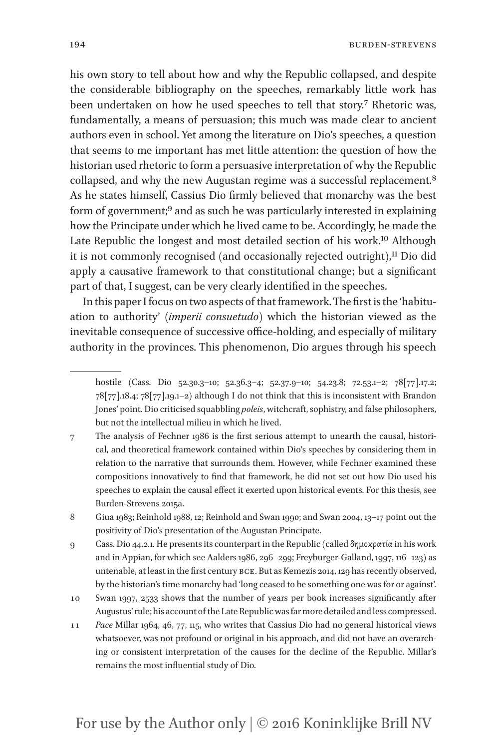his own story to tell about how and why the Republic collapsed, and despite the considerable bibliography on the speeches, remarkably little work has been undertaken on how he used speeches to tell that story.<sup>7</sup> Rhetoric was, fundamentally, a means of persuasion; this much was made clear to ancient authors even in school. Yet among the literature on Dio's speeches, a question that seems to me important has met little attention: the question of how the historian used rhetoric to form a persuasive interpretation of why the Republic collapsed, and why the new Augustan regime was a successful replacement.8 As he states himself, Cassius Dio firmly believed that monarchy was the best form of government;9 and as such he was particularly interested in explaining how the Principate under which he lived came to be. Accordingly, he made the Late Republic the longest and most detailed section of his work.10 Although it is not commonly recognised (and occasionally rejected outright),<sup>11</sup> Dio did apply a causative framework to that constitutional change; but a significant part of that, I suggest, can be very clearly identified in the speeches.

In this paper I focus on two aspects of that framework. The first is the 'habituation to authority' (*imperii consuetudo*) which the historian viewed as the inevitable consequence of successive office-holding, and especially of military authority in the provinces. This phenomenon, Dio argues through his speech

- 7 The analysis of Fechner 1986 is the first serious attempt to unearth the causal, historical, and theoretical framework contained within Dio's speeches by considering them in relation to the narrative that surrounds them. However, while Fechner examined these compositions innovatively to find that framework, he did not set out how Dio used his speeches to explain the causal effect it exerted upon historical events. For this thesis, see Burden-Strevens 2015a.
- 8 Giua 1983; Reinhold 1988, 12; Reinhold and Swan 1990; and Swan 2004, 13–17 point out the positivity of Dio's presentation of the Augustan Principate.
- 9 Cass. Dio 44.2.1. He presents its counterpart in the Republic (called δημοκρατία in his work and in Appian, for which see Aalders 1986, 296–299; Freyburger-Galland, 1997, 116–123) as untenable, at least in the first century BCE. But as Kemezis 2014, 129 has recently observed, by the historian's time monarchy had 'long ceased to be something one was for or against'.
- 10 Swan 1997, 2533 shows that the number of years per book increases significantly after Augustus' rule; his account of the Late Republic was far more detailed and less compressed.
- 11 *Pace* Millar 1964, 46, 77, 115, who writes that Cassius Dio had no general historical views whatsoever, was not profound or original in his approach, and did not have an overarching or consistent interpretation of the causes for the decline of the Republic. Millar's remains the most influential study of Dio.

hostile (Cass. Dio 52.30.3–10; 52.36.3–4; 52.37.9–10; 54.23.8; 72.53.1–2; 78[77].17.2;  $78[77].18.4; 78[77].19.1-2)$  although I do not think that this is inconsistent with Brandon Jones' point. Dio criticised squabbling *poleis*, witchcraft, sophistry, and false philosophers, but not the intellectual milieu in which he lived.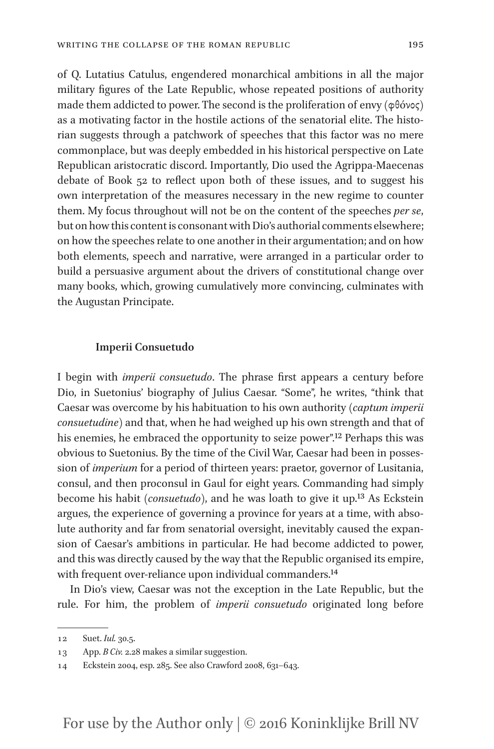of Q. Lutatius Catulus, engendered monarchical ambitions in all the major military figures of the Late Republic, whose repeated positions of authority made them addicted to power. The second is the proliferation of envy (φθóνος) as a motivating factor in the hostile actions of the senatorial elite. The historian suggests through a patchwork of speeches that this factor was no mere commonplace, but was deeply embedded in his historical perspective on Late Republican aristocratic discord. Importantly, Dio used the Agrippa-Maecenas debate of Book 52 to reflect upon both of these issues, and to suggest his own interpretation of the measures necessary in the new regime to counter them. My focus throughout will not be on the content of the speeches *per se*, but on how this content is consonant with Dio's authorial comments elsewhere; on how the speeches relate to one another in their argumentation; and on how both elements, speech and narrative, were arranged in a particular order to build a persuasive argument about the drivers of constitutional change over many books, which, growing cumulatively more convincing, culminates with the Augustan Principate.

#### **Imperii Consuetudo**

I begin with *imperii consuetudo*. The phrase first appears a century before Dio, in Suetonius' biography of Julius Caesar. "Some", he writes, "think that Caesar was overcome by his habituation to his own authority (*captum imperii consuetudine*) and that, when he had weighed up his own strength and that of his enemies, he embraced the opportunity to seize power".<sup>12</sup> Perhaps this was obvious to Suetonius. By the time of the Civil War, Caesar had been in possession of *imperium* for a period of thirteen years: praetor, governor of Lusitania, consul, and then proconsul in Gaul for eight years. Commanding had simply become his habit (*consuetudo*), and he was loath to give it up.13 As Eckstein argues, the experience of governing a province for years at a time, with absolute authority and far from senatorial oversight, inevitably caused the expansion of Caesar's ambitions in particular. He had become addicted to power, and this was directly caused by the way that the Republic organised its empire, with frequent over-reliance upon individual commanders.<sup>14</sup>

In Dio's view, Caesar was not the exception in the Late Republic, but the rule. For him, the problem of *imperii consuetudo* originated long before

<sup>12</sup> Suet. *Iul.* 30.5.

<sup>13</sup> App. *B Civ.* 2.28 makes a similar suggestion.

<sup>14</sup> Eckstein 2004, esp. 285. See also Crawford 2008, 631–643.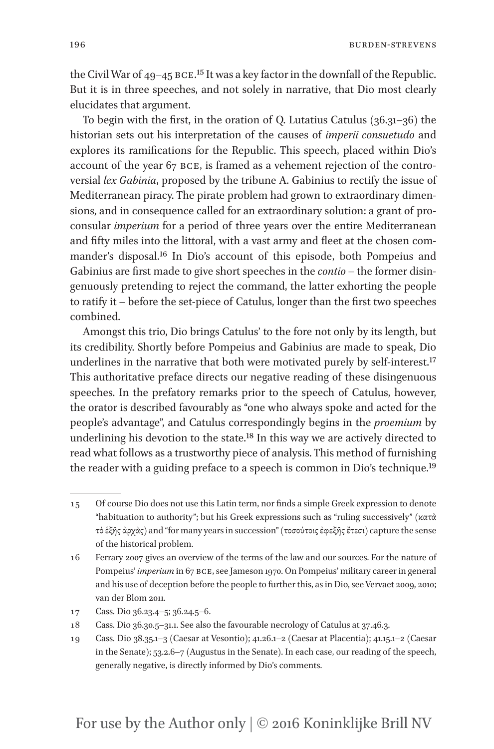196 BURDEN-STREVENS

the Civil War of  $49-45$  BCE.<sup>15</sup> It was a key factor in the downfall of the Republic. But it is in three speeches, and not solely in narrative, that Dio most clearly elucidates that argument.

To begin with the first, in the oration of Q. Lutatius Catulus  $(36.31-36)$  the historian sets out his interpretation of the causes of *imperii consuetudo* and explores its ramifications for the Republic. This speech, placed within Dio's account of the year 67 BCE, is framed as a vehement rejection of the controversial *lex Gabinia*, proposed by the tribune A. Gabinius to rectify the issue of Mediterranean piracy. The pirate problem had grown to extraordinary dimensions, and in consequence called for an extraordinary solution: a grant of proconsular *imperium* for a period of three years over the entire Mediterranean and fifty miles into the littoral, with a vast army and fleet at the chosen commander's disposal.16 In Dio's account of this episode, both Pompeius and Gabinius are first made to give short speeches in the *contio* – the former disingenuously pretending to reject the command, the latter exhorting the people to ratify it – before the set-piece of Catulus, longer than the first two speeches combined.

Amongst this trio, Dio brings Catulus' to the fore not only by its length, but its credibility. Shortly before Pompeius and Gabinius are made to speak, Dio underlines in the narrative that both were motivated purely by self-interest.<sup>17</sup> This authoritative preface directs our negative reading of these disingenuous speeches. In the prefatory remarks prior to the speech of Catulus, however, the orator is described favourably as "one who always spoke and acted for the people's advantage", and Catulus correspondingly begins in the *proemium* by underlining his devotion to the state.18 In this way we are actively directed to read what follows as a trustworthy piece of analysis. This method of furnishing the reader with a guiding preface to a speech is common in Dio's technique.19

<sup>15</sup> Of course Dio does not use this Latin term, nor finds a simple Greek expression to denote "habituation to authority"; but his Greek expressions such as "ruling successively" (κατὰ τὸ ἑξῆς ἀρχὰς) and "for many years in succession" (τοσούτοις ἐφεξῆς ἔτεσι) capture the sense of the historical problem.

<sup>16</sup> Ferrary 2007 gives an overview of the terms of the law and our sources. For the nature of Pompeius' *imperium* in 67 BCE, see Jameson 1970. On Pompeius' military career in general and his use of deception before the people to further this, as in Dio, see Vervaet 2009, 2010; van der Blom 2011.

<sup>17</sup> Cass. Dio 36.23.4–5; 36.24.5–6.

<sup>18</sup> Cass. Dio 36.30.5–31.1. See also the favourable necrology of Catulus at 37.46.3.

<sup>19</sup> Cass. Dio 38.35.1–3 (Caesar at Vesontio); 41.26.1–2 (Caesar at Placentia); 41.15.1–2 (Caesar in the Senate); 53.2.6–7 (Augustus in the Senate). In each case, our reading of the speech, generally negative, is directly informed by Dio's comments.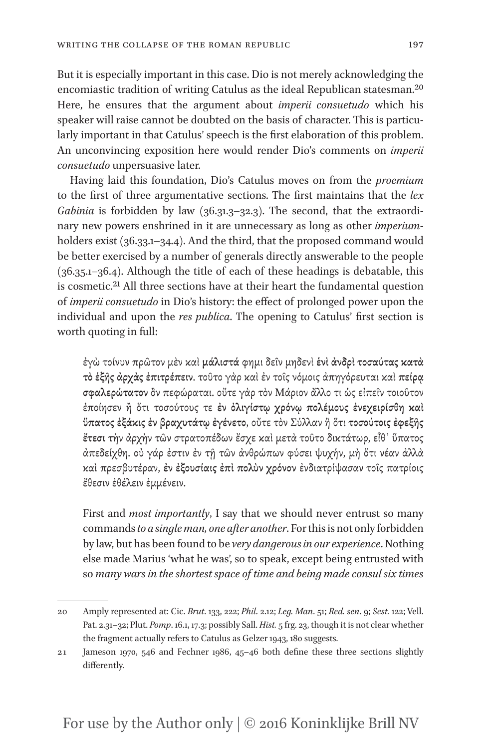But it is especially important in this case. Dio is not merely acknowledging the encomiastic tradition of writing Catulus as the ideal Republican statesman.20 Here, he ensures that the argument about *imperii consuetudo* which his speaker will raise cannot be doubted on the basis of character. This is particularly important in that Catulus' speech is the first elaboration of this problem. An unconvincing exposition here would render Dio's comments on *imperii consuetudo* unpersuasive later.

Having laid this foundation, Dio's Catulus moves on from the *proemium*  to the first of three argumentative sections. The first maintains that the *lex Gabinia* is forbidden by law (36.31.3–32.3). The second, that the extraordinary new powers enshrined in it are unnecessary as long as other *imperium*holders exist (36.33.1–34.4). And the third, that the proposed command would be better exercised by a number of generals directly answerable to the people (36.35.1–36.4). Although the title of each of these headings is debatable, this is cosmetic.21 All three sections have at their heart the fundamental question of *imperii consuetudo* in Dio's history: the effect of prolonged power upon the individual and upon the *res publica*. The opening to Catulus' first section is worth quoting in full:

ἐγὼ τοίνυν πρῶτον μὲν καὶ **μάλιστά** φημι δεῖν μηδενὶ **ἑνὶ ἀνδρὶ τοσαύτας κατὰ τὸ ἑξῆς ἀρχὰς ἐπιτρέπειν**. τοῦτο γὰρ καὶ ἐν τοῖς νόμοις ἀπηγόρευται καὶ **πείρᾳ σφαλερώτατον** ὂν πεφώραται. οὔτε γὰρ τὸν Μάριον ἄλο τι ὡς εἰπεῖν τοιοῦτον ἐποίησεν ἢ ὅτι τοσούτους τε **ἐν ὀλιγίστῳ χρόνῳ πολέμους ἐνεχειρίσθη καὶ ὕπατος ἑξάκις ἐν βραχυτάτῳ ἐγένετο**, οὔτε τὸν Σύλαν ἢ ὅτι **τοσούτοις ἐφεξῆς ἔτεσι** τὴν ἀρχὴν τῶν στρατοπέδων ἔσχε καὶ μετὰ τοῦτο δικτάτωρ, εἶθ᾽ ὕπατος ἀπεδείχθη. οὐ γάρ ἐστιν ἐν τῇ τῶν ἀνθρώπων φύσει ψυχήν, μὴ ὅτι νέαν ἀλὰ καὶ πρεσβυτέραν, **ἐν ἐξουσίαις ἐπὶ πολὺν χρόνον** ἐνδιατρίψασαν τοῖς πατρίοις ἔθεσιν ἐθέλειν ἐμμένειν.

First and *most importantly*, I say that we should never entrust so many commands *to a single man, one after another*. For this is not only forbidden by law, but has been found to be *very dangerous in our experience*. Nothing else made Marius 'what he was', so to speak, except being entrusted with so *many wars in the shortest space of time and being made consul six times* 

<sup>20</sup> Amply represented at: Cic. *Brut*. 133, 222; *Phil*. 2.12; *Leg. Man*. 51; *Red. sen*. 9; *Sest.* 122; Vell. Pat. 2.31–32; Plut. *Pomp*. 16.1, 17.3; possibly Sall. *Hist.* 5 frg. 23, though it is not clear whether the fragment actually refers to Catulus as Gelzer 1943, 180 suggests.

<sup>21</sup> Jameson 1970, 546 and Fechner 1986,  $45-46$  both define these three sections slightly differently.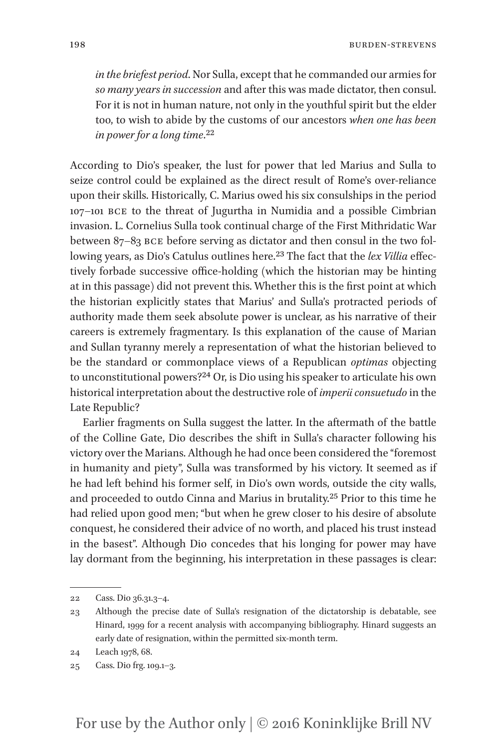*in the briefest period*. Nor Sulla, except that he commanded our armies for *so many years in succession* and after this was made dictator, then consul. For it is not in human nature, not only in the youthful spirit but the elder too, to wish to abide by the customs of our ancestors *when one has been in power for a long time*.22

According to Dio's speaker, the lust for power that led Marius and Sulla to seize control could be explained as the direct result of Rome's over-reliance upon their skills. Historically, C. Marius owed his six consulships in the period 107–101 BCE to the threat of Jugurtha in Numidia and a possible Cimbrian invasion. L. Cornelius Sulla took continual charge of the First Mithridatic War between 87–83 BCE before serving as dictator and then consul in the two following years, as Dio's Catulus outlines here.23 The fact that the *lex Villia* effectively forbade successive office-holding (which the historian may be hinting at in this passage) did not prevent this. Whether this is the first point at which the historian explicitly states that Marius' and Sulla's protracted periods of authority made them seek absolute power is unclear, as his narrative of their careers is extremely fragmentary. Is this explanation of the cause of Marian and Sullan tyranny merely a representation of what the historian believed to be the standard or commonplace views of a Republican *optimas* objecting to unconstitutional powers?24 Or, is Dio using his speaker to articulate his own historical interpretation about the destructive role of *imperii consuetudo* in the Late Republic?

Earlier fragments on Sulla suggest the latter. In the aftermath of the battle of the Colline Gate, Dio describes the shift in Sulla's character following his victory over the Marians. Although he had once been considered the "foremost in humanity and piety", Sulla was transformed by his victory. It seemed as if he had left behind his former self, in Dio's own words, outside the city walls, and proceeded to outdo Cinna and Marius in brutality.25 Prior to this time he had relied upon good men; "but when he grew closer to his desire of absolute conquest, he considered their advice of no worth, and placed his trust instead in the basest". Although Dio concedes that his longing for power may have lay dormant from the beginning, his interpretation in these passages is clear:

<sup>22</sup> Cass. Dio 36.31.3–4.

<sup>23</sup> Although the precise date of Sulla's resignation of the dictatorship is debatable, see Hinard, 1999 for a recent analysis with accompanying bibliography. Hinard suggests an early date of resignation, within the permitted six-month term.

<sup>24</sup> Leach 1978, 68.

<sup>25</sup> Cass. Dio frg. 109.1–3.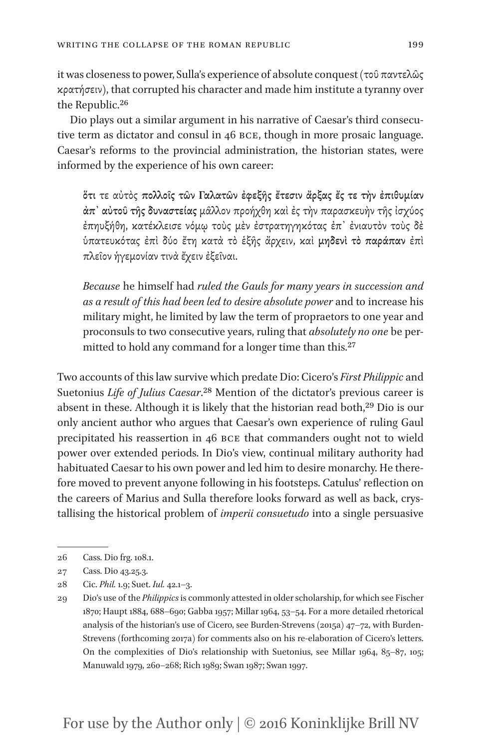it was closeness to power, Sulla's experience of absolute conquest (τοῦ παντελῶς κρατήσειν), that corrupted his character and made him institute a tyranny over the Republic.26

Dio plays out a similar argument in his narrative of Caesar's third consecutive term as dictator and consul in 46 BCE, though in more prosaic language. Caesar's reforms to the provincial administration, the historian states, were informed by the experience of his own career:

**ὅτι** τε αὐτὸς **πολοῖς τῶν Γαλατῶν ἐφεξῆς ἔτεσιν ἄρξας ἔς τε τὴν ἐπιθυμίαν ἀπ᾽ αὐτοῦ τῆς δυναστείας** μᾶλον προήχθη καὶ ἐς τὴν παρασκευὴν τῆς ἰσχύος ἐπηυξήθη, κατέκλεισε νόμῳ τοὺς μὲν ἐστρατηγηκότας ἐπ᾽ ἐνιαυτὸν τοὺς δὲ ὑπατευκότας ἐπὶ δύο ἔτη κατὰ τὸ ἑξῆς ἄρχειν, καὶ **μηδενὶ τὸ παράπαν** ἐπὶ πλεῖον ἡγεμονίαν τινὰ ἔχειν ἐξεῖναι.

*Because* he himself had *ruled the Gauls for many years in succession and as a result of this had been led to desire absolute power* and to increase his military might, he limited by law the term of propraetors to one year and proconsuls to two consecutive years, ruling that *absolutely no one* be permitted to hold any command for a longer time than this.<sup>27</sup>

Two accounts of this law survive which predate Dio: Cicero's *First Philippic* and Suetonius *Life of Julius Caesar*.28 Mention of the dictator's previous career is absent in these. Although it is likely that the historian read both,<sup>29</sup> Dio is our only ancient author who argues that Caesar's own experience of ruling Gaul precipitated his reassertion in 46 BCE that commanders ought not to wield power over extended periods. In Dio's view, continual military authority had habituated Caesar to his own power and led him to desire monarchy. He therefore moved to prevent anyone following in his footsteps. Catulus' reflection on the careers of Marius and Sulla therefore looks forward as well as back, crystallising the historical problem of *imperii consuetudo* into a single persuasive

28 Cic. *Phil.* 1.9; Suet. *Iul.* 42.1–3.

<sup>26</sup> Cass. Dio frg. 108.1.

<sup>27</sup> Cass. Dio 43.25.3.

<sup>29</sup> Dio's use of the *Philippics* is commonly attested in older scholarship, for which see Fischer 1870; Haupt 1884, 688–690; Gabba 1957; Millar 1964, 53–54. For a more detailed rhetorical analysis of the historian's use of Cicero, see Burden-Strevens (2015a) 47–72, with Burden-Strevens (forthcoming 2017a) for comments also on his re-elaboration of Cicero's letters. On the complexities of Dio's relationship with Suetonius, see Millar 1964, 85–87, 105; Manuwald 1979, 260–268; Rich 1989; Swan 1987; Swan 1997.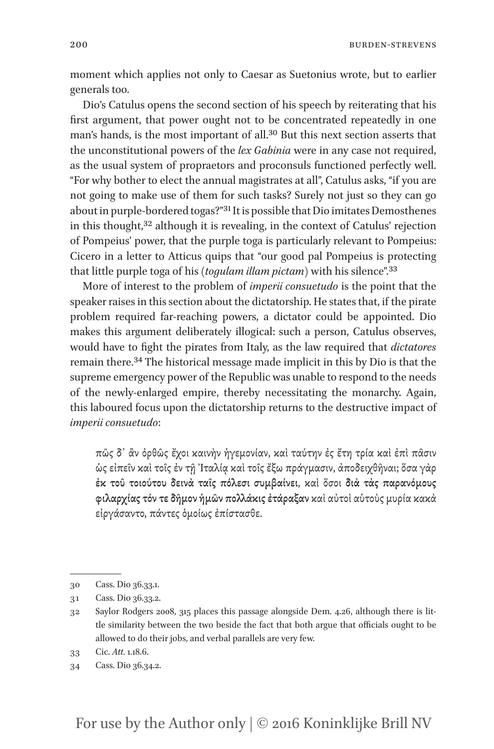moment which applies not only to Caesar as Suetonius wrote, but to earlier generals too.

Dio's Catulus opens the second section of his speech by reiterating that his first argument, that power ought not to be concentrated repeatedly in one man's hands, is the most important of all.<sup>30</sup> But this next section asserts that the unconstitutional powers of the *lex Gabinia* were in any case not required, as the usual system of propraetors and proconsuls functioned perfectly well. "For why bother to elect the annual magistrates at all", Catulus asks, "if you are not going to make use of them for such tasks? Surely not just so they can go about in purple-bordered togas?"31 It is possible that Dio imitates Demosthenes in this thought,32 although it is revealing, in the context of Catulus' rejection of Pompeius' power, that the purple toga is particularly relevant to Pompeius: Cicero in a letter to Atticus quips that "our good pal Pompeius is protecting that little purple toga of his (*togulam illam pictam*) with his silence".33

More of interest to the problem of *imperii consuetudo* is the point that the speaker raises in this section about the dictatorship. He states that, if the pirate problem required far-reaching powers, a dictator could be appointed. Dio makes this argument deliberately illogical: such a person, Catulus observes, would have to fight the pirates from Italy, as the law required that *dictatores* remain there.34 The historical message made implicit in this by Dio is that the supreme emergency power of the Republic was unable to respond to the needs of the newly-enlarged empire, thereby necessitating the monarchy. Again, this laboured focus upon the dictatorship returns to the destructive impact of *imperii consuetudo*:

πῶς δ᾽ ἂν ὀρθῶς ἔχοι καινὴν ἡγεμονίαν, καὶ ταύτην ἐς ἔτη τρία καὶ ἐπὶ πᾶσιν ὡς εἰπεῖν καὶ τοῖς ἐν τῇ Ἰταλίᾳ καὶ τοῖς ἔξω πράγμασιν, ἀποδειχθῆναι; ὅσα γὰρ **ἐκ τοῦ τοιούτου δεινὰ ταῖς πόλεσι συμβαίνει**, καὶ ὅσοι **διὰ τὰς παρανόμους φιλαρχίας τόν τε δῆμον ἡμῶν πολάκις ἐτάραξαν** καὶ αὐτοὶ αὑτοὺς μυρία κακὰ εἰργάσαντο, πάντες ὁμοίως ἐπίστασθε.

<sup>30</sup> Cass. Dio 36.33.1.

<sup>31</sup> Cass. Dio 36.33.2.

<sup>32</sup> Saylor Rodgers 2008, 315 places this passage alongside Dem. 4.26, although there is little similarity between the two beside the fact that both argue that officials ought to be allowed to do their jobs, and verbal parallels are very few.

<sup>33</sup> Cic. *Att.* 1.18.6.

<sup>34</sup> Cass. Dio 36.34.2.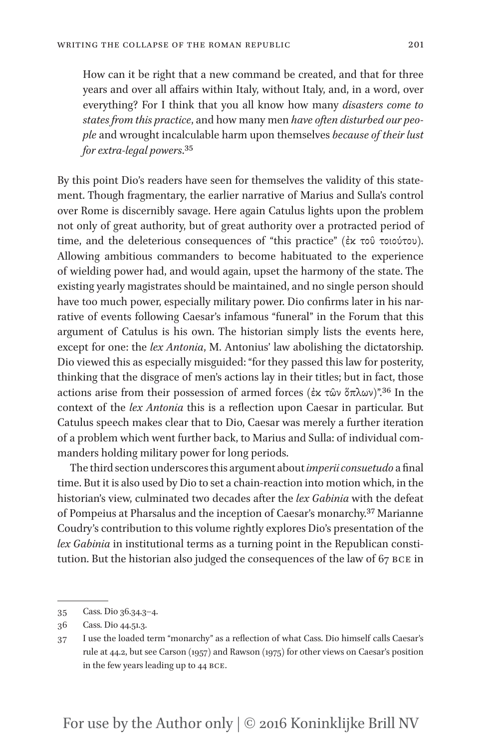How can it be right that a new command be created, and that for three years and over all affairs within Italy, without Italy, and, in a word, over everything? For I think that you all know how many *disasters come to states from this practice*, and how many men *have often disturbed our people* and wrought incalculable harm upon themselves *because of their lust for extra-legal powers*.35

By this point Dio's readers have seen for themselves the validity of this statement. Though fragmentary, the earlier narrative of Marius and Sulla's control over Rome is discernibly savage. Here again Catulus lights upon the problem not only of great authority, but of great authority over a protracted period of time, and the deleterious consequences of "this practice" (ἐκ τοῦ τοιούτου). Allowing ambitious commanders to become habituated to the experience of wielding power had, and would again, upset the harmony of the state. The existing yearly magistrates should be maintained, and no single person should have too much power, especially military power. Dio confirms later in his narrative of events following Caesar's infamous "funeral" in the Forum that this argument of Catulus is his own. The historian simply lists the events here, except for one: the *lex Antonia*, M. Antonius' law abolishing the dictatorship. Dio viewed this as especially misguided: "for they passed this law for posterity, thinking that the disgrace of men's actions lay in their titles; but in fact, those actions arise from their possession of armed forces (ἐκ τῶν ὅπλων)".36 In the context of the *lex Antonia* this is a reflection upon Caesar in particular. But Catulus speech makes clear that to Dio, Caesar was merely a further iteration of a problem which went further back, to Marius and Sulla: of individual commanders holding military power for long periods.

The third section underscores this argument about *imperii consuetudo* a final time. But it is also used by Dio to set a chain-reaction into motion which, in the historian's view, culminated two decades after the *lex Gabinia* with the defeat of Pompeius at Pharsalus and the inception of Caesar's monarchy.37 Marianne Coudry's contribution to this volume rightly explores Dio's presentation of the *lex Gabinia* in institutional terms as a turning point in the Republican constitution. But the historian also judged the consequences of the law of 67 BCE in

<sup>35</sup> Cass. Dio 36.34.3–4.

<sup>36</sup> Cass. Dio 44.51.3.

<sup>37</sup> I use the loaded term "monarchy" as a reflection of what Cass. Dio himself calls Caesar's rule at 44.2, but see Carson (1957) and Rawson (1975) for other views on Caesar's position in the few years leading up to 44 BCE.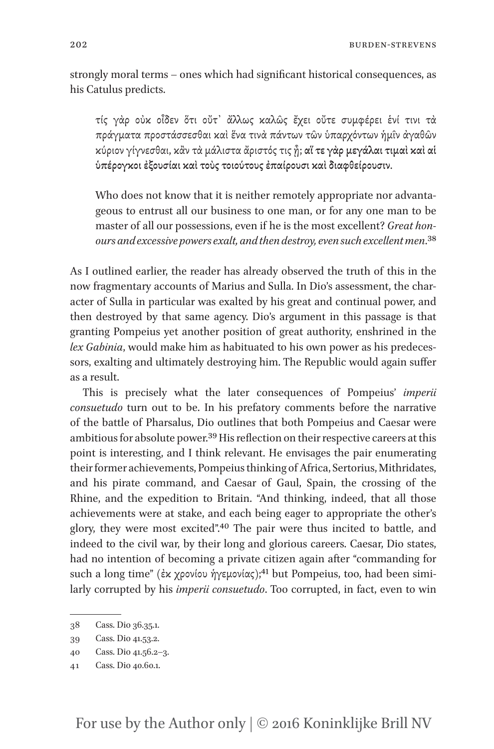strongly moral terms – ones which had significant historical consequences, as his Catulus predicts.

τίς γὰρ οὐκ οἶδεν ὅτι οὔτ᾽ ἄλως καλῶς ἔχει οὔτε συμφέρει ἑνί τινι τὰ πράγματα προστάσσεσθαι καὶ ἕνα τινὰ πάντων τῶν ὑπαρχόντων ἡμῖν ἀγαθῶν κύριον γίγνεσθαι, κἂν τὰ μάλιστα ἄριστός τις ᾖ; **αἵ τε γὰρ μεγάλαι τιμαὶ καὶ αἱ ὑπέρογκοι ἐξουσίαι καὶ τοὺς τοιούτους ἐπαίρουσι καὶ διαφθείρουσιν**.

Who does not know that it is neither remotely appropriate nor advantageous to entrust all our business to one man, or for any one man to be master of all our possessions, even if he is the most excellent? *Great honours and excessive powers exalt, and then destroy, even such excellent men*.38

As I outlined earlier, the reader has already observed the truth of this in the now fragmentary accounts of Marius and Sulla. In Dio's assessment, the character of Sulla in particular was exalted by his great and continual power, and then destroyed by that same agency. Dio's argument in this passage is that granting Pompeius yet another position of great authority, enshrined in the *lex Gabinia*, would make him as habituated to his own power as his predecessors, exalting and ultimately destroying him. The Republic would again suffer as a result.

This is precisely what the later consequences of Pompeius' *imperii consuetudo* turn out to be. In his prefatory comments before the narrative of the battle of Pharsalus, Dio outlines that both Pompeius and Caesar were ambitious for absolute power.<sup>39</sup> His reflection on their respective careers at this point is interesting, and I think relevant. He envisages the pair enumerating their former achievements, Pompeius thinking of Africa, Sertorius, Mithridates, and his pirate command, and Caesar of Gaul, Spain, the crossing of the Rhine, and the expedition to Britain. "And thinking, indeed, that all those achievements were at stake, and each being eager to appropriate the other's glory, they were most excited".40 The pair were thus incited to battle, and indeed to the civil war, by their long and glorious careers. Caesar, Dio states, had no intention of becoming a private citizen again after "commanding for such a long time" (ἐκ χρονίου ἡγεμονίας);41 but Pompeius, too, had been similarly corrupted by his *imperii consuetudo*. Too corrupted, in fact, even to win

<sup>38</sup> Cass. Dio 36.35.1.

<sup>39</sup> Cass. Dio 41.53.2.

<sup>40</sup> Cass. Dio 41.56.2–3.

<sup>41</sup> Cass. Dio 40.60.1.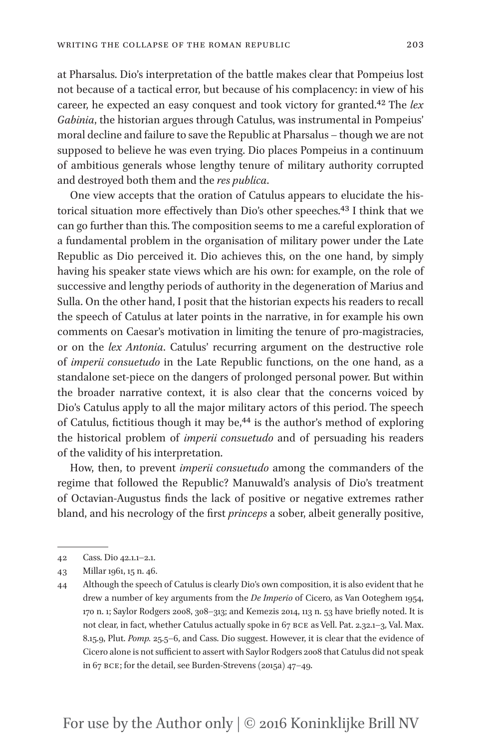at Pharsalus. Dio's interpretation of the battle makes clear that Pompeius lost not because of a tactical error, but because of his complacency: in view of his career, he expected an easy conquest and took victory for granted.42 The *lex Gabinia*, the historian argues through Catulus, was instrumental in Pompeius' moral decline and failure to save the Republic at Pharsalus – though we are not supposed to believe he was even trying. Dio places Pompeius in a continuum of ambitious generals whose lengthy tenure of military authority corrupted and destroyed both them and the *res publica*.

One view accepts that the oration of Catulus appears to elucidate the historical situation more effectively than Dio's other speeches.<sup>43</sup> I think that we can go further than this. The composition seems to me a careful exploration of a fundamental problem in the organisation of military power under the Late Republic as Dio perceived it. Dio achieves this, on the one hand, by simply having his speaker state views which are his own: for example, on the role of successive and lengthy periods of authority in the degeneration of Marius and Sulla. On the other hand, I posit that the historian expects his readers to recall the speech of Catulus at later points in the narrative, in for example his own comments on Caesar's motivation in limiting the tenure of pro-magistracies, or on the *lex Antonia*. Catulus' recurring argument on the destructive role of *imperii consuetudo* in the Late Republic functions, on the one hand, as a standalone set-piece on the dangers of prolonged personal power. But within the broader narrative context, it is also clear that the concerns voiced by Dio's Catulus apply to all the major military actors of this period. The speech of Catulus, fictitious though it may be,<sup>44</sup> is the author's method of exploring the historical problem of *imperii consuetudo* and of persuading his readers of the validity of his interpretation.

How, then, to prevent *imperii consuetudo* among the commanders of the regime that followed the Republic? Manuwald's analysis of Dio's treatment of Octavian-Augustus finds the lack of positive or negative extremes rather bland, and his necrology of the first *princeps* a sober, albeit generally positive,

<sup>42</sup> Cass. Dio 42.1.1–2.1.

<sup>43</sup> Millar 1961, 15 n. 46.

<sup>44</sup> Although the speech of Catulus is clearly Dio's own composition, it is also evident that he drew a number of key arguments from the *De Imperio* of Cicero, as Van Ooteghem 1954, 170 n. 1; Saylor Rodgers 2008, 308–313; and Kemezis 2014, 113 n. 53 have briefly noted. It is not clear, in fact, whether Catulus actually spoke in 67 BCE as Vell. Pat. 2.32.1–3, Val. Max. 8.15.9, Plut. *Pomp.* 25.5–6, and Cass. Dio suggest. However, it is clear that the evidence of Cicero alone is not sufficient to assert with Saylor Rodgers 2008 that Catulus did not speak in 67 BCE; for the detail, see Burden-Strevens (2015a) 47–49.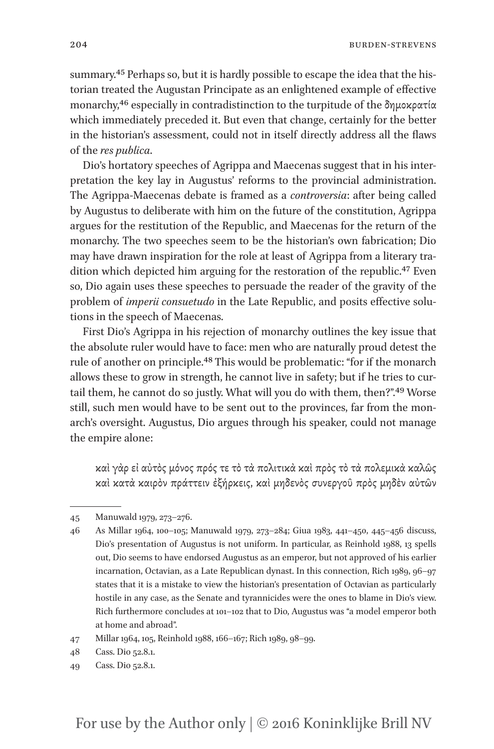summary.<sup>45</sup> Perhaps so, but it is hardly possible to escape the idea that the historian treated the Augustan Principate as an enlightened example of effective monarchy,46 especially in contradistinction to the turpitude of the δημοκρατία which immediately preceded it. But even that change, certainly for the better in the historian's assessment, could not in itself directly address all the flaws of the *res publica*.

Dio's hortatory speeches of Agrippa and Maecenas suggest that in his interpretation the key lay in Augustus' reforms to the provincial administration. The Agrippa-Maecenas debate is framed as a *controversia*: after being called by Augustus to deliberate with him on the future of the constitution, Agrippa argues for the restitution of the Republic, and Maecenas for the return of the monarchy. The two speeches seem to be the historian's own fabrication; Dio may have drawn inspiration for the role at least of Agrippa from a literary tradition which depicted him arguing for the restoration of the republic.<sup>47</sup> Even so, Dio again uses these speeches to persuade the reader of the gravity of the problem of *imperii consuetudo* in the Late Republic, and posits effective solutions in the speech of Maecenas.

First Dio's Agrippa in his rejection of monarchy outlines the key issue that the absolute ruler would have to face: men who are naturally proud detest the rule of another on principle.48 This would be problematic: "for if the monarch allows these to grow in strength, he cannot live in safety; but if he tries to curtail them, he cannot do so justly. What will you do with them, then?".49 Worse still, such men would have to be sent out to the provinces, far from the monarch's oversight. Augustus, Dio argues through his speaker, could not manage the empire alone:

καὶ γὰρ εἰ αὐτὸς μόνος πρός τε τὸ τὰ πολιτικὰ καὶ πρὸς τὸ τὰ πολεμικὰ καλῶς καὶ κατὰ καιρὸν πράττειν ἐξήρκεις, καὶ μηδενὸς συνεργοῦ πρὸς μηδὲν αὐτῶν

- 47 Millar 1964, 105, Reinhold 1988, 166–167; Rich 1989, 98–99.
- 48 Cass. Dio 52.8.1.
- 49 Cass. Dio 52.8.1.

<sup>45</sup> Manuwald 1979, 273–276.

<sup>46</sup> As Millar 1964, 100–105; Manuwald 1979, 273–284; Giua 1983, 441–450, 445–456 discuss, Dio's presentation of Augustus is not uniform. In particular, as Reinhold 1988, 13 spells out, Dio seems to have endorsed Augustus as an emperor, but not approved of his earlier incarnation, Octavian, as a Late Republican dynast. In this connection, Rich 1989, 96–97 states that it is a mistake to view the historian's presentation of Octavian as particularly hostile in any case, as the Senate and tyrannicides were the ones to blame in Dio's view. Rich furthermore concludes at 101–102 that to Dio, Augustus was "a model emperor both at home and abroad".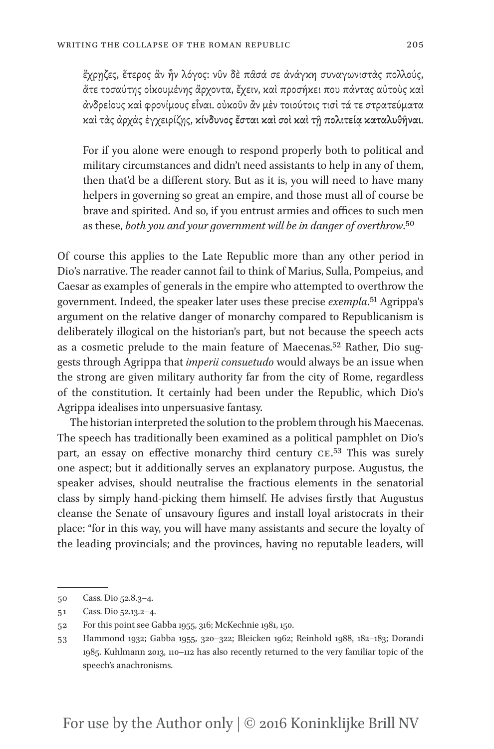ἔχρῃζες, ἕτερος ἂν ἦν λόγος: νῦν δὲ πᾶσά σε ἀνάγκη συναγωνιστὰς πολούς, ἅτε τοσαύτης οἰκουμένης ἄρχοντα, ἔχειν, καὶ προσήκει που πάντας αὐτοὺς καὶ ἀνδρείους καὶ φρονίμους εἶναι. οὐκοῦν ἂν μὲν τοιούτοις τισὶ τά τε στρατεύματα καὶ τὰς ἀρχὰς ἐγχειρίζῃς, **κίνδυνος ἔσται καὶ σοὶ καὶ τῇ πολιτείᾳ καταλυθῆναι**.

For if you alone were enough to respond properly both to political and military circumstances and didn't need assistants to help in any of them, then that'd be a different story. But as it is, you will need to have many helpers in governing so great an empire, and those must all of course be brave and spirited. And so, if you entrust armies and offices to such men as these, *both you and your government will be in danger of overthrow*.50

Of course this applies to the Late Republic more than any other period in Dio's narrative. The reader cannot fail to think of Marius, Sulla, Pompeius, and Caesar as examples of generals in the empire who attempted to overthrow the government. Indeed, the speaker later uses these precise *exempla*.51 Agrippa's argument on the relative danger of monarchy compared to Republicanism is deliberately illogical on the historian's part, but not because the speech acts as a cosmetic prelude to the main feature of Maecenas.52 Rather, Dio suggests through Agrippa that *imperii consuetudo* would always be an issue when the strong are given military authority far from the city of Rome, regardless of the constitution. It certainly had been under the Republic, which Dio's Agrippa idealises into unpersuasive fantasy.

The historian interpreted the solution to the problem through his Maecenas. The speech has traditionally been examined as a political pamphlet on Dio's part, an essay on effective monarchy third century CE.<sup>53</sup> This was surely one aspect; but it additionally serves an explanatory purpose. Augustus, the speaker advises, should neutralise the fractious elements in the senatorial class by simply hand-picking them himself. He advises firstly that Augustus cleanse the Senate of unsavoury figures and install loyal aristocrats in their place: "for in this way, you will have many assistants and secure the loyalty of the leading provincials; and the provinces, having no reputable leaders, will

<sup>50</sup> Cass. Dio 52.8.3–4.

<sup>51</sup> Cass. Dio 52.13.2–4.

<sup>52</sup> For this point see Gabba 1955, 316; McKechnie 1981, 150.

<sup>53</sup> Hammond 1932; Gabba 1955, 320–322; Bleicken 1962; Reinhold 1988, 182–183; Dorandi 1985. Kuhlmann 2013, 110–112 has also recently returned to the very familiar topic of the speech's anachronisms.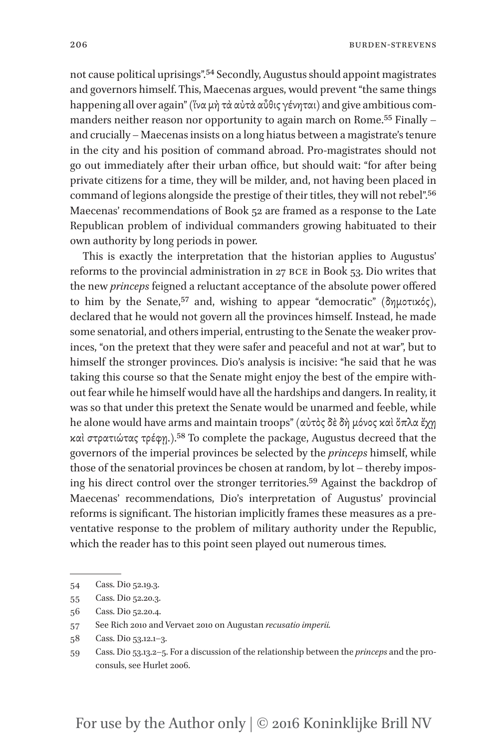not cause political uprisings".54 Secondly, Augustus should appoint magistrates and governors himself. This, Maecenas argues, would prevent "the same things happening all over again" (ἵνα μὴ τὰ αὐτὰ αὖθις γένηται) and give ambitious commanders neither reason nor opportunity to again march on Rome.<sup>55</sup> Finally – and crucially – Maecenas insists on a long hiatus between a magistrate's tenure in the city and his position of command abroad. Pro-magistrates should not go out immediately after their urban office, but should wait: "for after being private citizens for a time, they will be milder, and, not having been placed in command of legions alongside the prestige of their titles, they will not rebel".56 Maecenas' recommendations of Book 52 are framed as a response to the Late Republican problem of individual commanders growing habituated to their own authority by long periods in power.

This is exactly the interpretation that the historian applies to Augustus' reforms to the provincial administration in 27 BCE in Book 53. Dio writes that the new *princeps* feigned a reluctant acceptance of the absolute power offered to him by the Senate,<sup>57</sup> and, wishing to appear "democratic" (δημοτικός), declared that he would not govern all the provinces himself. Instead, he made some senatorial, and others imperial, entrusting to the Senate the weaker provinces, "on the pretext that they were safer and peaceful and not at war", but to himself the stronger provinces. Dio's analysis is incisive: "he said that he was taking this course so that the Senate might enjoy the best of the empire without fear while he himself would have all the hardships and dangers. In reality, it was so that under this pretext the Senate would be unarmed and feeble, while he alone would have arms and maintain troops" (αὐτὸς δὲ δὴ μόνος καὶ ὅπλα ἔχῃ καὶ στρατιώτας τρέφῃ.).58 To complete the package, Augustus decreed that the governors of the imperial provinces be selected by the *princeps* himself, while those of the senatorial provinces be chosen at random, by lot – thereby imposing his direct control over the stronger territories.59 Against the backdrop of Maecenas' recommendations, Dio's interpretation of Augustus' provincial reforms is significant. The historian implicitly frames these measures as a preventative response to the problem of military authority under the Republic, which the reader has to this point seen played out numerous times.

58 Cass. Dio 53.12.1–3.

<sup>54</sup> Cass. Dio 52.19.3.

<sup>55</sup> Cass. Dio 52.20.3.

<sup>56</sup> Cass. Dio 52.20.4.

<sup>57</sup> See Rich 2010 and Vervaet 2010 on Augustan *recusatio imperii.*

<sup>59</sup> Cass. Dio 53.13.2–5. For a discussion of the relationship between the *princeps* and the proconsuls, see Hurlet 2006.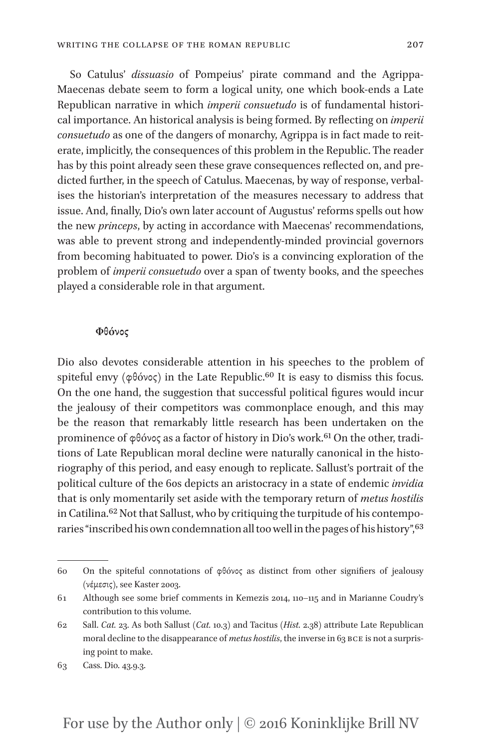So Catulus' *dissuasio* of Pompeius' pirate command and the Agrippa-Maecenas debate seem to form a logical unity, one which book-ends a Late Republican narrative in which *imperii consuetudo* is of fundamental historical importance. An historical analysis is being formed. By reflecting on *imperii consuetudo* as one of the dangers of monarchy, Agrippa is in fact made to reiterate, implicitly, the consequences of this problem in the Republic. The reader has by this point already seen these grave consequences reflected on, and predicted further, in the speech of Catulus. Maecenas, by way of response, verbalises the historian's interpretation of the measures necessary to address that issue. And, finally, Dio's own later account of Augustus' reforms spells out how the new *princeps*, by acting in accordance with Maecenas' recommendations, was able to prevent strong and independently-minded provincial governors from becoming habituated to power. Dio's is a convincing exploration of the problem of *imperii consuetudo* over a span of twenty books, and the speeches played a considerable role in that argument.

#### **Φθóνος**

Dio also devotes considerable attention in his speeches to the problem of spiteful envy (φθόνος) in the Late Republic.<sup>60</sup> It is easy to dismiss this focus. On the one hand, the suggestion that successful political figures would incur the jealousy of their competitors was commonplace enough, and this may be the reason that remarkably little research has been undertaken on the prominence of φθóνος as a factor of history in Dio's work.61 On the other, traditions of Late Republican moral decline were naturally canonical in the historiography of this period, and easy enough to replicate. Sallust's portrait of the political culture of the 60s depicts an aristocracy in a state of endemic *invidia*  that is only momentarily set aside with the temporary return of *metus hostilis*  in Catilina.62 Not that Sallust, who by critiquing the turpitude of his contemporaries "inscribed his own condemnation all too well in the pages of his history", 63

<sup>60</sup> On the spiteful connotations of φθόνος as distinct from other signifiers of jealousy (νέμεσις), see Kaster 2003.

<sup>61</sup> Although see some brief comments in Kemezis 2014, 110–115 and in Marianne Coudry's contribution to this volume.

<sup>62</sup> Sall. *Cat.* 23. As both Sallust (*Cat.* 10.3) and Tacitus (*Hist.* 2.38) attribute Late Republican moral decline to the disappearance of *metus hostilis*, the inverse in 63 BCE is not a surprising point to make.

<sup>63</sup> Cass. Dio. 43.9.3.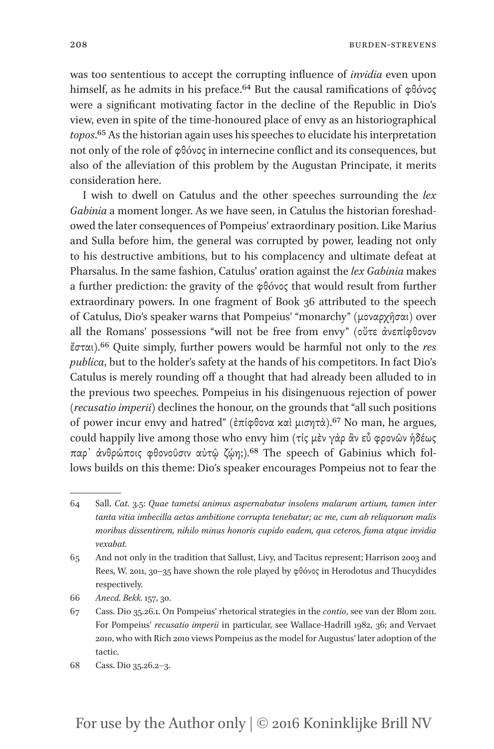208 BURDEN-STREVENS

was too sententious to accept the corrupting influence of *invidia* even upon himself, as he admits in his preface.<sup>64</sup> But the causal ramifications of φθόνος were a significant motivating factor in the decline of the Republic in Dio's view, even in spite of the time-honoured place of envy as an historiographical *topos*.65 As the historian again uses his speeches to elucidate his interpretation not only of the role of φθóνος in internecine conflict and its consequences, but also of the alleviation of this problem by the Augustan Principate, it merits consideration here.

I wish to dwell on Catulus and the other speeches surrounding the *lex Gabinia* a moment longer. As we have seen, in Catulus the historian foreshadowed the later consequences of Pompeius' extraordinary position. Like Marius and Sulla before him, the general was corrupted by power, leading not only to his destructive ambitions, but to his complacency and ultimate defeat at Pharsalus. In the same fashion, Catulus' oration against the *lex Gabinia* makes a further prediction: the gravity of the φθóνος that would result from further extraordinary powers. In one fragment of Book 36 attributed to the speech of Catulus, Dio's speaker warns that Pompeius' "monarchy" (μοναρχῆσαι) over all the Romans' possessions "will not be free from envy" (οὔτε ἀνεπίφθονον ἔσται).66 Quite simply, further powers would be harmful not only to the *res publica*, but to the holder's safety at the hands of his competitors. In fact Dio's Catulus is merely rounding off a thought that had already been alluded to in the previous two speeches. Pompeius in his disingenuous rejection of power (*recusatio imperii*) declines the honour, on the grounds that "all such positions of power incur envy and hatred" (ἐπίφθονα καὶ μισητὰ).67 No man, he argues, could happily live among those who envy him (τίς μὲν γὰρ ἂν εὖ φρονῶν ἡδέως παρ᾽ ἀνθρώποις φθονοῦσιν αὐτῷ ζῴη;).68 The speech of Gabinius which follows builds on this theme: Dio's speaker encourages Pompeius not to fear the

<sup>64</sup> Sall. *Cat.* 3.5: *Quae tametsi animus aspernabatur insolens malarum artium, tamen inter tanta vitia imbecilla aetas ambitione corrupta tenebatur; ac me, cum ab reliquorum malis moribus dissentirem, nihilo minus honoris cupido eadem, qua ceteros, fama atque invidia vexabat.*

<sup>65</sup> And not only in the tradition that Sallust, Livy, and Tacitus represent; Harrison 2003 and Rees, W. 2011, 30–35 have shown the role played by φθóνος in Herodotus and Thucydides respectively.

<sup>66</sup> *Anecd. Bekk.* 157, 30.

<sup>67</sup> Cass. Dio 35.26.1. On Pompeius' rhetorical strategies in the *contio*, see van der Blom 2011. For Pompeius' *recusatio imperii* in particular, see Wallace-Hadrill 1982, 36; and Vervaet 2010, who with Rich 2010 views Pompeius as the model for Augustus' later adoption of the tactic.

<sup>68</sup> Cass. Dio 35.26.2–3.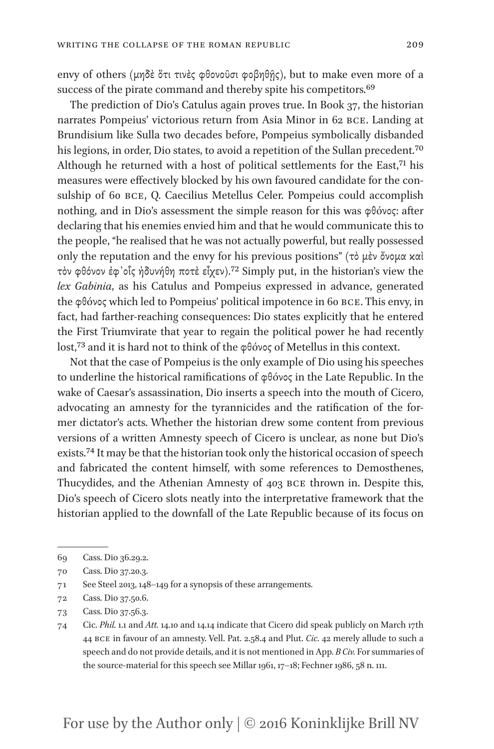envy of others (μηδὲ ὅτι τινὲς φθονοῦσι φοβηθῇς), but to make even more of a success of the pirate command and thereby spite his competitors.<sup>69</sup>

The prediction of Dio's Catulus again proves true. In Book 37, the historian narrates Pompeius' victorious return from Asia Minor in 62 BCE. Landing at Brundisium like Sulla two decades before, Pompeius symbolically disbanded his legions, in order, Dio states, to avoid a repetition of the Sullan precedent.<sup>70</sup> Although he returned with a host of political settlements for the East, $71$  his measures were effectively blocked by his own favoured candidate for the consulship of 60 BCE, Q. Caecilius Metellus Celer. Pompeius could accomplish nothing, and in Dio's assessment the simple reason for this was φθóνος: after declaring that his enemies envied him and that he would communicate this to the people, "he realised that he was not actually powerful, but really possessed only the reputation and the envy for his previous positions" (τὸ μὲν ὄνομα καὶ τὸν φθόνον ἐφ᾽οἷς ἠδυνήθη ποτὲ εἶχεν).72 Simply put, in the historian's view the *lex Gabinia*, as his Catulus and Pompeius expressed in advance, generated the φθóνος which led to Pompeius' political impotence in 60 BCE. This envy, in fact, had farther-reaching consequences: Dio states explicitly that he entered the First Triumvirate that year to regain the political power he had recently lost,73 and it is hard not to think of the φθóνος of Metellus in this context.

Not that the case of Pompeius is the only example of Dio using his speeches to underline the historical ramifications of φθόνος in the Late Republic. In the wake of Caesar's assassination, Dio inserts a speech into the mouth of Cicero, advocating an amnesty for the tyrannicides and the ratification of the former dictator's acts. Whether the historian drew some content from previous versions of a written Amnesty speech of Cicero is unclear, as none but Dio's exists.74 It may be that the historian took only the historical occasion of speech and fabricated the content himself, with some references to Demosthenes, Thucydides, and the Athenian Amnesty of 403 BCE thrown in. Despite this, Dio's speech of Cicero slots neatly into the interpretative framework that the historian applied to the downfall of the Late Republic because of its focus on

- 73 Cass. Dio 37.56.3.
- 74 Cic. *Phil.* 1.1 and *Att.* 14.10 and 14.14 indicate that Cicero did speak publicly on March 17th 44 BCE in favour of an amnesty. Vell. Pat. 2.58.4 and Plut. *Cic.* 42 merely allude to such a speech and do not provide details, and it is not mentioned in App. *B Civ.* For summaries of the source-material for this speech see Millar 1961, 17-18; Fechner 1986, 58 n. 111.

<sup>69</sup> Cass. Dio 36.29.2.

<sup>70</sup> Cass. Dio 37.20.3.

<sup>71</sup> See Steel 2013, 148–149 for a synopsis of these arrangements.

<sup>72</sup> Cass. Dio 37.50.6.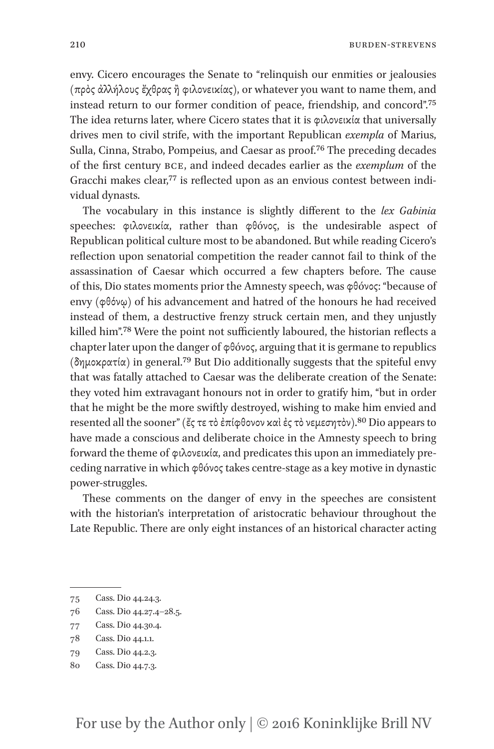210 BURDEN-STREVENS

envy. Cicero encourages the Senate to "relinquish our enmities or jealousies (πρὸς ἀλήλους ἔχθρας ἢ φιλονεικίας), or whatever you want to name them, and instead return to our former condition of peace, friendship, and concord".75 The idea returns later, where Cicero states that it is φιλονεικία that universally drives men to civil strife, with the important Republican *exempla* of Marius, Sulla, Cinna, Strabo, Pompeius, and Caesar as proof.76 The preceding decades of the ijirst century BCE, and indeed decades earlier as the *exemplum* of the Gracchi makes clear,<sup>77</sup> is reflected upon as an envious contest between individual dynasts.

The vocabulary in this instance is slightly different to the *lex Gabinia*  speeches: φιλονεικία, rather than φθóνος, is the undesirable aspect of Republican political culture most to be abandoned. But while reading Cicero's reflection upon senatorial competition the reader cannot fail to think of the assassination of Caesar which occurred a few chapters before. The cause of this, Dio states moments prior the Amnesty speech, was φθóνος: "because of envy (φθόνῳ) of his advancement and hatred of the honours he had received instead of them, a destructive frenzy struck certain men, and they unjustly killed him".<sup>78</sup> Were the point not sufficiently laboured, the historian reflects a chapter later upon the danger of φθóνος, arguing that it is germane to republics (δημοκρατία) in general.79 But Dio additionally suggests that the spiteful envy that was fatally attached to Caesar was the deliberate creation of the Senate: they voted him extravagant honours not in order to gratify him, "but in order that he might be the more swiftly destroyed, wishing to make him envied and resented all the sooner" (ἔς τε τὸ ἐπίφθονον καὶ ἐς τὸ νεμεσητὸν).<sup>80</sup> Dio appears to have made a conscious and deliberate choice in the Amnesty speech to bring forward the theme of φιλονεικία, and predicates this upon an immediately preceding narrative in which φθóνος takes centre-stage as a key motive in dynastic power-struggles.

These comments on the danger of envy in the speeches are consistent with the historian's interpretation of aristocratic behaviour throughout the Late Republic. There are only eight instances of an historical character acting

- 78 Cass. Dio 44.1.1.
- 79 Cass. Dio 44.2.3.
- 80 Cass. Dio 44.7.3.

<sup>75</sup> Cass. Dio 44.24.3.

<sup>76</sup> Cass. Dio 44.27.4–28.5.

<sup>77</sup> Cass. Dio 44.30.4.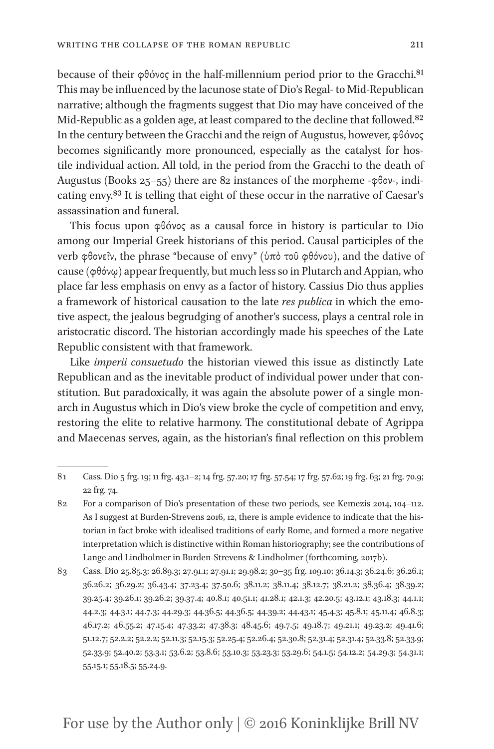because of their φθόνος in the half-millennium period prior to the Gracchi.<sup>81</sup> This may be influenced by the lacunose state of Dio's Regal- to Mid-Republican narrative; although the fragments suggest that Dio may have conceived of the Mid-Republic as a golden age, at least compared to the decline that followed.<sup>82</sup> In the century between the Gracchi and the reign of Augustus, however, φθóνος becomes significantly more pronounced, especially as the catalyst for hostile individual action. All told, in the period from the Gracchi to the death of Augustus (Books 25–55) there are 82 instances of the morpheme -φθον-, indicating envy.83 It is telling that eight of these occur in the narrative of Caesar's assassination and funeral.

This focus upon φθóνος as a causal force in history is particular to Dio among our Imperial Greek historians of this period. Causal participles of the verb φθονεῖν, the phrase "because of envy" (ὑπὸ τοῦ φθόνου), and the dative of cause (φθόνῳ) appear frequently, but much less so in Plutarch and Appian, who place far less emphasis on envy as a factor of history. Cassius Dio thus applies a framework of historical causation to the late *res publica* in which the emotive aspect, the jealous begrudging of another's success, plays a central role in aristocratic discord. The historian accordingly made his speeches of the Late Republic consistent with that framework.

Like *imperii consuetudo* the historian viewed this issue as distinctly Late Republican and as the inevitable product of individual power under that constitution. But paradoxically, it was again the absolute power of a single monarch in Augustus which in Dio's view broke the cycle of competition and envy, restoring the elite to relative harmony. The constitutional debate of Agrippa and Maecenas serves, again, as the historian's final reflection on this problem

<sup>81</sup> Cass. Dio 5 frg. 19; 11 frg. 43.1–2; 14 frg. 57.20; 17 frg. 57.54; 17 frg. 57.62; 19 frg. 63; 21 frg. 70.9; 22 frg. 74.

<sup>82</sup> For a comparison of Dio's presentation of these two periods, see Kemezis 2014, 104–112. As I suggest at Burden-Strevens 2016, 12, there is ample evidence to indicate that the historian in fact broke with idealised traditions of early Rome, and formed a more negative interpretation which is distinctive within Roman historiography; see the contributions of Lange and Lindholmer in Burden-Strevens & Lindholmer (forthcoming, 2017b).

<sup>83</sup> Cass. Dio 25.85.3; 26.89.3; 27.91.1; 27.91.1; 29.98.2; 30–35 frg. 109.10; 36.14.3; 36.24.6; 36.26.1; 36.26.2; 36.29.2; 36.43.4; 37.23.4; 37.50.6; 38.11.2; 38.11.4; 38.12.7; 38.21.2; 38.36.4; 38.39.2; 39.25.4; 39.26.1; 39.26.2; 39.37.4; 40.8.1; 40.51.1; 41.28.1; 42.1.3; 42.20.5; 43.12.1; 43.18.3; 44.1.1; 44.2.3; 44.3.1; 44.7.3; 44.29.3; 44.36.5; 44.36.5; 44.39.2; 44.43.1; 45.4.3; 45.8.1; 45.11.4; 46.8.3; 46.17.2; 46.55.2; 47.15.4; 47.33.2; 47.38.3; 48.45.6; 49.7.5; 49.18.7; 49.21.1; 49.23.2; 49.41.6; 51.12.7; 52.2.2; 52.2.2; 52.11.3; 52.15.3; 52.25.4; 52.26.4; 52.30.8; 52.31.4; 52.31.4; 52.33.8; 52.33.9; 52.33.9; 52.40.2; 53.3.1; 53.6.2; 53.8.6; 53.10.3; 53.23.3; 53.29.6; 54.1.5; 54.12.2; 54.29.3; 54.31.1; 55.15.1; 55.18.5; 55.24.9.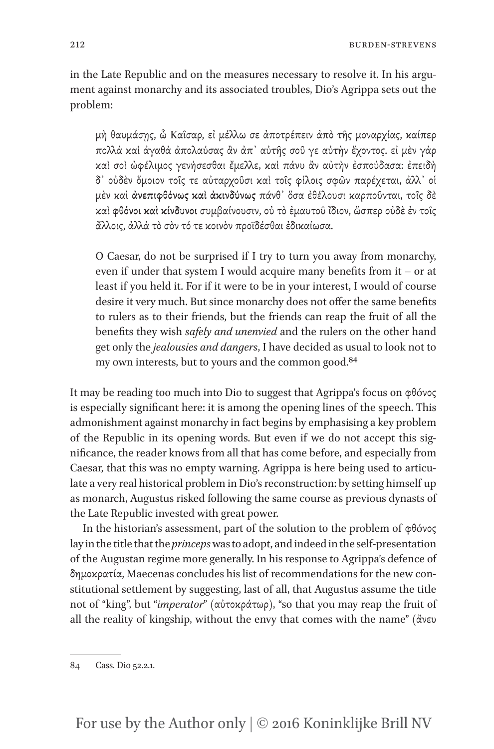in the Late Republic and on the measures necessary to resolve it. In his argument against monarchy and its associated troubles, Dio's Agrippa sets out the problem:

μὴ θαυμάσῃς, ὦ Καῖσαρ, εἰ μέλω σε ἀποτρέπειν ἀπὸ τῆς μοναρχίας, καίπερ πολὰ καὶ ἀγαθὰ ἀπολαύσας ἂν ἀπ᾽ αὐτῆς σοῦ γε αὐτὴν ἔχοντος. εἰ μὲν γὰρ καὶ σοὶ ὠφέλιμος γενήσεσθαι ἔμελε, καὶ πάνυ ἂν αὐτὴν ἐσπούδασα: ἐπειδὴ δ' οὐδὲν ὅμοιον τοῖς τε αὐταρχοῦσι καὶ τοῖς φίλοις σφῶν παρέχεται, ἀλλ' οἱ μὲν καὶ **ἀνεπιφθόνως καὶ ἀκινδύνως** πάνθ᾽ ὅσα ἐθέλουσι καρποῦνται, τοῖς δὲ καὶ **φθόνοι καὶ κίνδυνοι** συμβαίνουσιν, οὐ τὸ ἐμαυτοῦ ἴδιον, ὥσπερ οὐδὲ ἐν τοῖς ἄλοις, ἀλὰ τὸ σὸν τό τε κοινὸν προϊδέσθαι ἐδικαίωσα.

O Caesar, do not be surprised if I try to turn you away from monarchy, even if under that system I would acquire many benefits from it – or at least if you held it. For if it were to be in your interest, I would of course desire it very much. But since monarchy does not offer the same benefits to rulers as to their friends, but the friends can reap the fruit of all the benefits they wish *safely and unenvied* and the rulers on the other hand get only the *jealousies and dangers*, I have decided as usual to look not to my own interests, but to yours and the common good.84

It may be reading too much into Dio to suggest that Agrippa's focus on φθóνος is especially significant here: it is among the opening lines of the speech. This admonishment against monarchy in fact begins by emphasising a key problem of the Republic in its opening words. But even if we do not accept this significance, the reader knows from all that has come before, and especially from Caesar, that this was no empty warning. Agrippa is here being used to articulate a very real historical problem in Dio's reconstruction: by setting himself up as monarch, Augustus risked following the same course as previous dynasts of the Late Republic invested with great power.

In the historian's assessment, part of the solution to the problem of φθóνος lay in the title that the *princeps* was to adopt, and indeed in the self-presentation of the Augustan regime more generally. In his response to Agrippa's defence of δημοκρατία, Maecenas concludes his list of recommendations for the new constitutional settlement by suggesting, last of all, that Augustus assume the title not of "king", but "*imperator*" (αὐτοκράτωρ), "so that you may reap the fruit of all the reality of kingship, without the envy that comes with the name" (ἄνευ

<sup>84</sup> Cass. Dio 52.2.1.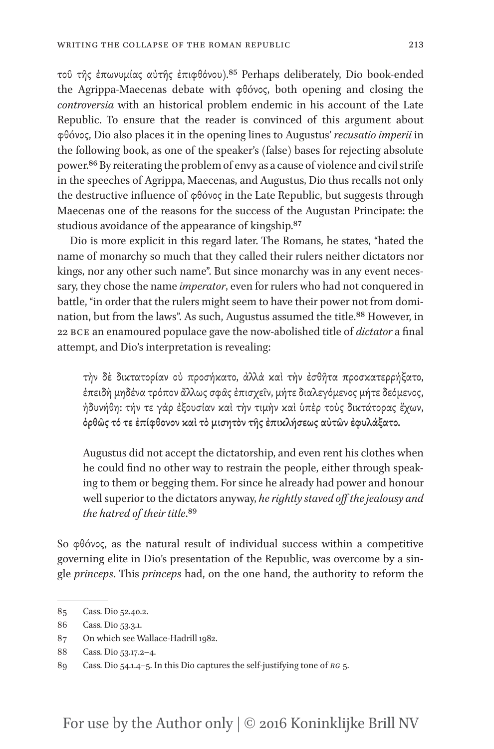τοῦ τῆς ἐπωνυμίας αὐτῆς ἐπιφθόνου).85 Perhaps deliberately, Dio book-ended the Agrippa-Maecenas debate with φθóνος, both opening and closing the *controversia* with an historical problem endemic in his account of the Late Republic. To ensure that the reader is convinced of this argument about φθóνος, Dio also places it in the opening lines to Augustus' *recusatio imperii* in the following book, as one of the speaker's (false) bases for rejecting absolute power.86 By reiterating the problem of envy as a cause of violence and civil strife in the speeches of Agrippa, Maecenas, and Augustus, Dio thus recalls not only the destructive influence of φθóνος in the Late Republic, but suggests through Maecenas one of the reasons for the success of the Augustan Principate: the studious avoidance of the appearance of kingship.<sup>87</sup>

Dio is more explicit in this regard later. The Romans, he states, "hated the name of monarchy so much that they called their rulers neither dictators nor kings, nor any other such name". But since monarchy was in any event necessary, they chose the name *imperator*, even for rulers who had not conquered in battle, "in order that the rulers might seem to have their power not from domination, but from the laws". As such, Augustus assumed the title.<sup>88</sup> However, in 22 BCE an enamoured populace gave the now-abolished title of *dictator* a final attempt, and Dio's interpretation is revealing:

τὴν δὲ δικτατορίαν οὐ προσήκατο, ἀλὰ καὶ τὴν ἐσθῆτα προσκατερρήξατο, ἐπειδὴ μηδένα τρόπον ἄλως σφᾶς ἐπισχεῖν, μήτε διαλεγόμενος μήτε δεόμενος, ἠδυνήθη: τήν τε γὰρ ἐξουσίαν καὶ τὴν τιμὴν καὶ ὑπὲρ τοὺς δικτάτορας ἔχων, **ὀρθῶς τό τε ἐπίφθονον καὶ τὸ μισητὸν τῆς ἐπικλήσεως αὐτῶν ἐφυλάξατο.**

Augustus did not accept the dictatorship, and even rent his clothes when he could find no other way to restrain the people, either through speaking to them or begging them. For since he already had power and honour well superior to the dictators anyway, *he rightly staved off the jealousy and the hatred of their title*.89

So φθóνος, as the natural result of individual success within a competitive governing elite in Dio's presentation of the Republic, was overcome by a single *princeps*. This *princeps* had, on the one hand, the authority to reform the

<sup>85</sup> Cass. Dio 52.40.2.

<sup>86</sup> Cass. Dio 53.3.1.

<sup>87</sup> On which see Wallace-Hadrill 1982.

<sup>88</sup> Cass. Dio 53.17.2–4.

<sup>89</sup> Cass. Dio 54.1.4–5. In this Dio captures the self-justifying tone of *RG* 5.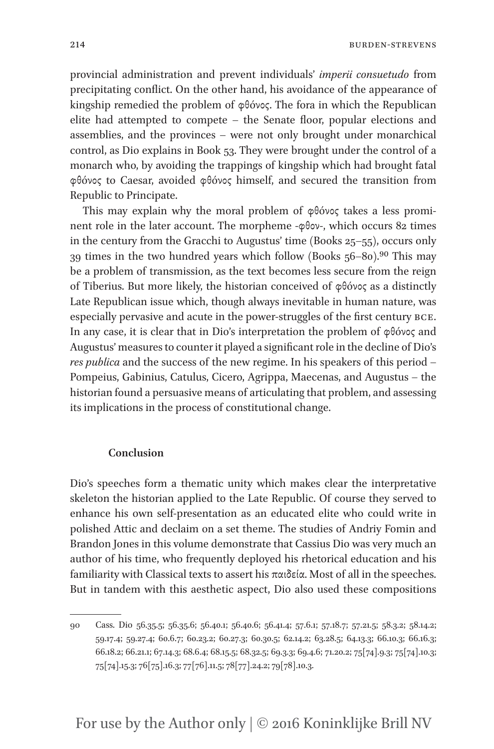214 BURDEN-STREVENS

provincial administration and prevent individuals' *imperii consuetudo* from precipitating conflict. On the other hand, his avoidance of the appearance of kingship remedied the problem of φθóνος. The fora in which the Republican elite had attempted to compete – the Senate floor, popular elections and assemblies, and the provinces – were not only brought under monarchical control, as Dio explains in Book 53. They were brought under the control of a monarch who, by avoiding the trappings of kingship which had brought fatal φθóνος to Caesar, avoided φθóνος himself, and secured the transition from Republic to Principate.

This may explain why the moral problem of φθóνος takes a less prominent role in the later account. The morpheme -φθον-, which occurs 82 times in the century from the Gracchi to Augustus' time (Books 25–55), occurs only 39 times in the two hundred years which follow (Books 56–80).90 This may be a problem of transmission, as the text becomes less secure from the reign of Tiberius. But more likely, the historian conceived of φθóνος as a distinctly Late Republican issue which, though always inevitable in human nature, was especially pervasive and acute in the power-struggles of the first century BCE. In any case, it is clear that in Dio's interpretation the problem of φθóνος and Augustus' measures to counter it played a significant role in the decline of Dio's *res publica* and the success of the new regime. In his speakers of this period – Pompeius, Gabinius, Catulus, Cicero, Agrippa, Maecenas, and Augustus – the historian found a persuasive means of articulating that problem, and assessing its implications in the process of constitutional change.

#### **Conclusion**

Dio's speeches form a thematic unity which makes clear the interpretative skeleton the historian applied to the Late Republic. Of course they served to enhance his own self-presentation as an educated elite who could write in polished Attic and declaim on a set theme. The studies of Andriy Fomin and Brandon Jones in this volume demonstrate that Cassius Dio was very much an author of his time, who frequently deployed his rhetorical education and his familiarity with Classical texts to assert his παιδεία. Most of all in the speeches. But in tandem with this aesthetic aspect, Dio also used these compositions

<sup>90</sup> Cass. Dio 56.35.5; 56.35.6; 56.40.1; 56.40.6; 56.41.4; 57.6.1; 57.18.7; 57.21.5; 58.3.2; 58.14.2; 59.17.4; 59.27.4; 60.6.7; 60.23.2; 60.27.3; 60.30.5; 62.14.2; 63.28.5; 64.13.3; 66.10.3; 66.16.3; 66.18.2; 66.21.1; 67.14.3; 68.6.4; 68.15.5; 68.32.5; 69.3.3; 69.4.6; 71.20.2; 75[74].9.3; 75[74].10.3; 75[74].15.3; 76[75].16.3; 77[76].11.5; 78[77].24.2; 79[78].10.3.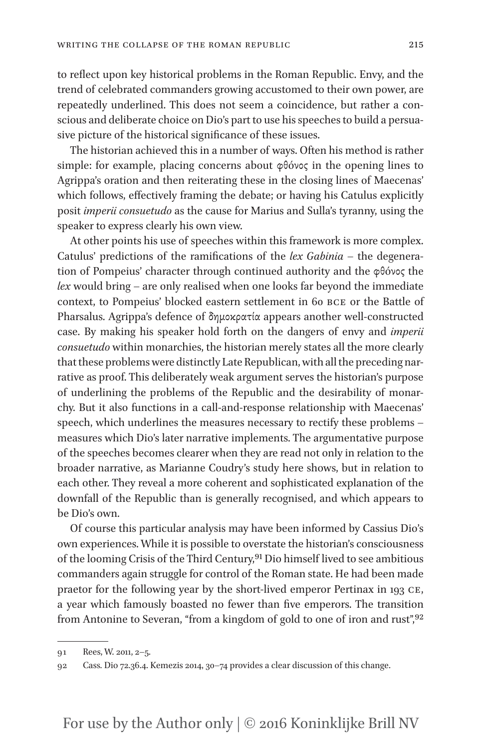to reflect upon key historical problems in the Roman Republic. Envy, and the trend of celebrated commanders growing accustomed to their own power, are repeatedly underlined. This does not seem a coincidence, but rather a conscious and deliberate choice on Dio's part to use his speeches to build a persuasive picture of the historical significance of these issues.

The historian achieved this in a number of ways. Often his method is rather simple: for example, placing concerns about  $\phi\theta\phi\chi\phi$  in the opening lines to Agrippa's oration and then reiterating these in the closing lines of Maecenas' which follows, effectively framing the debate; or having his Catulus explicitly posit *imperii consuetudo* as the cause for Marius and Sulla's tyranny, using the speaker to express clearly his own view.

At other points his use of speeches within this framework is more complex. Catulus' predictions of the ramifications of the *lex Gabinia* – the degeneration of Pompeius' character through continued authority and the φθóνος the *lex* would bring – are only realised when one looks far beyond the immediate context, to Pompeius' blocked eastern settlement in 60 BCE or the Battle of Pharsalus. Agrippa's defence of δημοκρατία appears another well-constructed case. By making his speaker hold forth on the dangers of envy and *imperii consuetudo* within monarchies, the historian merely states all the more clearly that these problems were distinctly Late Republican, with all the preceding narrative as proof. This deliberately weak argument serves the historian's purpose of underlining the problems of the Republic and the desirability of monarchy. But it also functions in a call-and-response relationship with Maecenas' speech, which underlines the measures necessary to rectify these problems – measures which Dio's later narrative implements. The argumentative purpose of the speeches becomes clearer when they are read not only in relation to the broader narrative, as Marianne Coudry's study here shows, but in relation to each other. They reveal a more coherent and sophisticated explanation of the downfall of the Republic than is generally recognised, and which appears to be Dio's own.

Of course this particular analysis may have been informed by Cassius Dio's own experiences. While it is possible to overstate the historian's consciousness of the looming Crisis of the Third Century,<sup>91</sup> Dio himself lived to see ambitious commanders again struggle for control of the Roman state. He had been made praetor for the following year by the short-lived emperor Pertinax in 193 CE, a year which famously boasted no fewer than five emperors. The transition from Antonine to Severan, "from a kingdom of gold to one of iron and rust",<sup>92</sup>

<sup>91</sup> Rees, W. 2011, 2–5.

<sup>92</sup> Cass. Dio 72.36.4. Kemezis 2014, 30–74 provides a clear discussion of this change.